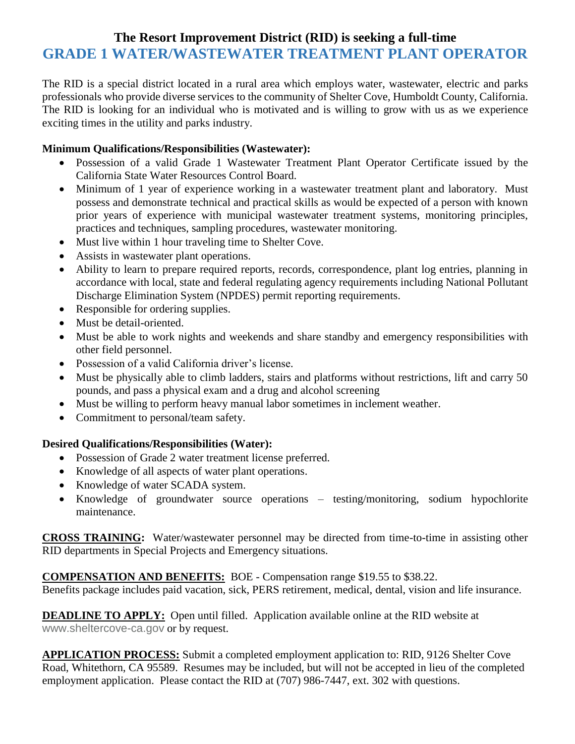# **The Resort Improvement District (RID) is seeking a full-time GRADE 1 WATER/WASTEWATER TREATMENT PLANT OPERATOR**

The RID is a special district located in a rural area which employs water, wastewater, electric and parks professionals who provide diverse services to the community of Shelter Cove, Humboldt County, California. The RID is looking for an individual who is motivated and is willing to grow with us as we experience exciting times in the utility and parks industry.

#### **Minimum Qualifications/Responsibilities (Wastewater):**

- Possession of a valid Grade 1 Wastewater Treatment Plant Operator Certificate issued by the California State Water Resources Control Board.
- Minimum of 1 year of experience working in a wastewater treatment plant and laboratory. Must possess and demonstrate technical and practical skills as would be expected of a person with known prior years of experience with municipal wastewater treatment systems, monitoring principles, practices and techniques, sampling procedures, wastewater monitoring.
- Must live within 1 hour traveling time to Shelter Cove.
- Assists in wastewater plant operations.
- Ability to learn to prepare required reports, records, correspondence, plant log entries, planning in accordance with local, state and federal regulating agency requirements including National Pollutant Discharge Elimination System (NPDES) permit reporting requirements.
- Responsible for ordering supplies.
- Must be detail-oriented.
- Must be able to work nights and weekends and share standby and emergency responsibilities with other field personnel.
- Possession of a valid California driver's license.
- Must be physically able to climb ladders, stairs and platforms without restrictions, lift and carry 50 pounds, and pass a physical exam and a drug and alcohol screening
- Must be willing to perform heavy manual labor sometimes in inclement weather.
- Commitment to personal/team safety.

#### **Desired Qualifications/Responsibilities (Water):**

- Possession of Grade 2 water treatment license preferred.
- Knowledge of all aspects of water plant operations.
- Knowledge of water SCADA system.
- Knowledge of groundwater source operations testing/monitoring, sodium hypochlorite maintenance.

**CROSS TRAINING:** Water/wastewater personnel may be directed from time-to-time in assisting other RID departments in Special Projects and Emergency situations.

**COMPENSATION AND BENEFITS:** BOE - Compensation range \$19.55 to \$38.22.

Benefits package includes paid vacation, sick, PERS retirement, medical, dental, vision and life insurance.

**DEADLINE TO APPLY:** Open until filled. Application available online at the RID website at [www.sheltercove-ca.gov](http://www.sheltercove-ca.gov/) or by request.

**APPLICATION PROCESS:** Submit a completed employment application to: RID, 9126 Shelter Cove Road, Whitethorn, CA 95589. Resumes may be included, but will not be accepted in lieu of the completed employment application. Please contact the RID at (707) 986-7447, ext. 302 with questions.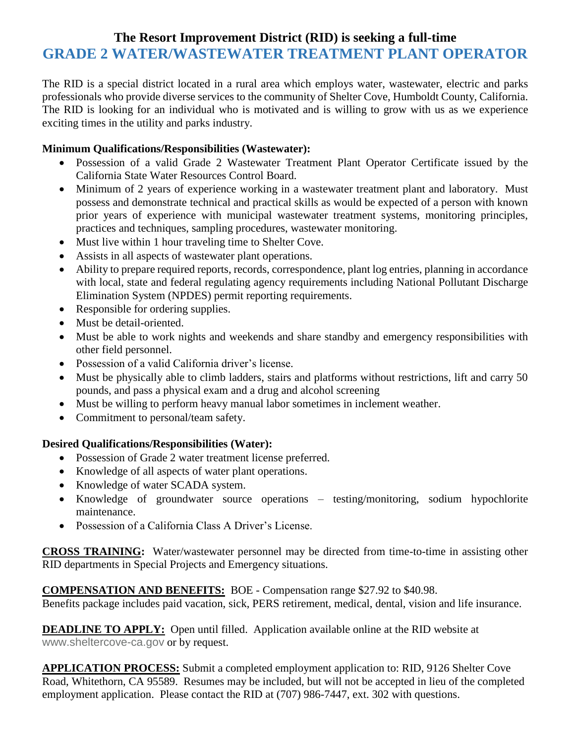# **The Resort Improvement District (RID) is seeking a full-time GRADE 2 WATER/WASTEWATER TREATMENT PLANT OPERATOR**

The RID is a special district located in a rural area which employs water, wastewater, electric and parks professionals who provide diverse services to the community of Shelter Cove, Humboldt County, California. The RID is looking for an individual who is motivated and is willing to grow with us as we experience exciting times in the utility and parks industry.

#### **Minimum Qualifications/Responsibilities (Wastewater):**

- Possession of a valid Grade 2 Wastewater Treatment Plant Operator Certificate issued by the California State Water Resources Control Board.
- Minimum of 2 years of experience working in a wastewater treatment plant and laboratory. Must possess and demonstrate technical and practical skills as would be expected of a person with known prior years of experience with municipal wastewater treatment systems, monitoring principles, practices and techniques, sampling procedures, wastewater monitoring.
- Must live within 1 hour traveling time to Shelter Cove.
- Assists in all aspects of wastewater plant operations.
- Ability to prepare required reports, records, correspondence, plant log entries, planning in accordance with local, state and federal regulating agency requirements including National Pollutant Discharge Elimination System (NPDES) permit reporting requirements.
- Responsible for ordering supplies.
- Must be detail-oriented.
- Must be able to work nights and weekends and share standby and emergency responsibilities with other field personnel.
- Possession of a valid California driver's license.
- Must be physically able to climb ladders, stairs and platforms without restrictions, lift and carry 50 pounds, and pass a physical exam and a drug and alcohol screening
- Must be willing to perform heavy manual labor sometimes in inclement weather.
- Commitment to personal/team safety.

#### **Desired Qualifications/Responsibilities (Water):**

- Possession of Grade 2 water treatment license preferred.
- Knowledge of all aspects of water plant operations.
- Knowledge of water SCADA system.
- Knowledge of groundwater source operations testing/monitoring, sodium hypochlorite maintenance.
- Possession of a California Class A Driver's License.

**CROSS TRAINING:** Water/wastewater personnel may be directed from time-to-time in assisting other RID departments in Special Projects and Emergency situations.

**COMPENSATION AND BENEFITS:** BOE - Compensation range \$27.92 to \$40.98.

Benefits package includes paid vacation, sick, PERS retirement, medical, dental, vision and life insurance.

**DEADLINE TO APPLY:** Open until filled. Application available online at the RID website at [www.sheltercove-ca.gov](http://www.sheltercove-ca.gov/) or by request.

**APPLICATION PROCESS:** Submit a completed employment application to: RID, 9126 Shelter Cove Road, Whitethorn, CA 95589. Resumes may be included, but will not be accepted in lieu of the completed employment application. Please contact the RID at (707) 986-7447, ext. 302 with questions.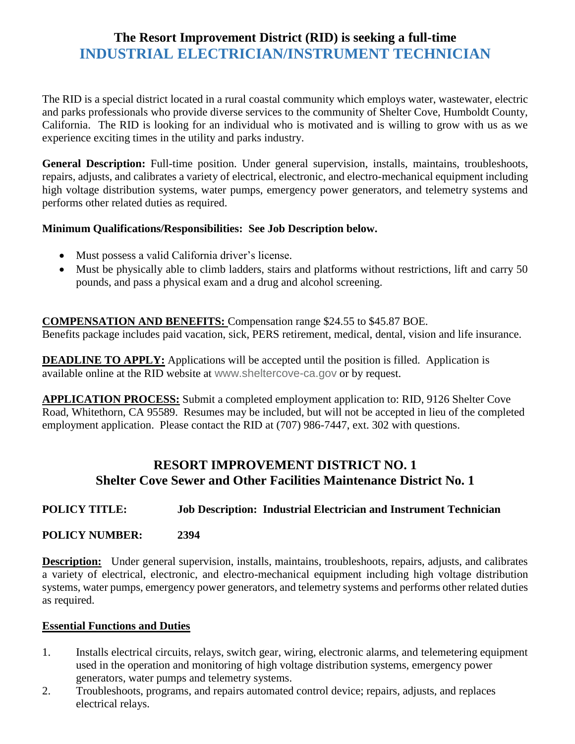# **The Resort Improvement District (RID) is seeking a full-time INDUSTRIAL ELECTRICIAN/INSTRUMENT TECHNICIAN**

The RID is a special district located in a rural coastal community which employs water, wastewater, electric and parks professionals who provide diverse services to the community of Shelter Cove, Humboldt County, California. The RID is looking for an individual who is motivated and is willing to grow with us as we experience exciting times in the utility and parks industry.

**General Description:** Full-time position. Under general supervision, installs, maintains, troubleshoots, repairs, adjusts, and calibrates a variety of electrical, electronic, and electro-mechanical equipment including high voltage distribution systems, water pumps, emergency power generators, and telemetry systems and performs other related duties as required.

#### **Minimum Qualifications/Responsibilities: See Job Description below.**

- Must possess a valid California driver's license.
- Must be physically able to climb ladders, stairs and platforms without restrictions, lift and carry 50 pounds, and pass a physical exam and a drug and alcohol screening.

#### **COMPENSATION AND BENEFITS:** Compensation range \$24.55 to \$45.87 BOE.

Benefits package includes paid vacation, sick, PERS retirement, medical, dental, vision and life insurance.

**DEADLINE TO APPLY:** Applications will be accepted until the position is filled. Application is available online at the RID website at [www.sheltercove-ca.gov](http://www.sheltercove-ca.gov/) or by request.

**APPLICATION PROCESS:** Submit a completed employment application to: RID, 9126 Shelter Cove Road, Whitethorn, CA 95589. Resumes may be included, but will not be accepted in lieu of the completed employment application. Please contact the RID at (707) 986-7447, ext. 302 with questions.

## **RESORT IMPROVEMENT DISTRICT NO. 1 Shelter Cove Sewer and Other Facilities Maintenance District No. 1**

#### **POLICY TITLE: Job Description: Industrial Electrician and Instrument Technician**

#### **POLICY NUMBER: 2394**

**Description:** Under general supervision, installs, maintains, troubleshoots, repairs, adjusts, and calibrates a variety of electrical, electronic, and electro-mechanical equipment including high voltage distribution systems, water pumps, emergency power generators, and telemetry systems and performs other related duties as required.

#### **Essential Functions and Duties**

- 1. Installs electrical circuits, relays, switch gear, wiring, electronic alarms, and telemetering equipment used in the operation and monitoring of high voltage distribution systems, emergency power generators, water pumps and telemetry systems.
- 2. Troubleshoots, programs, and repairs automated control device; repairs, adjusts, and replaces electrical relays.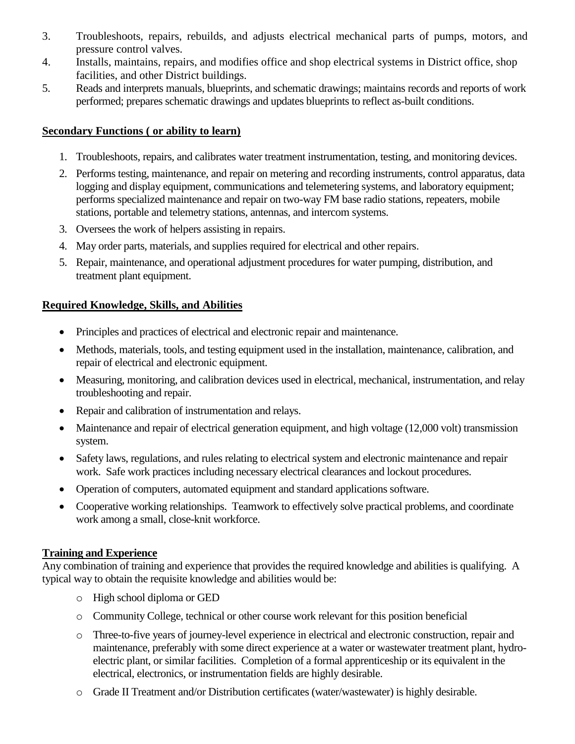- 3. Troubleshoots, repairs, rebuilds, and adjusts electrical mechanical parts of pumps, motors, and pressure control valves.
- 4. Installs, maintains, repairs, and modifies office and shop electrical systems in District office, shop facilities, and other District buildings.
- 5. Reads and interprets manuals, blueprints, and schematic drawings; maintains records and reports of work performed; prepares schematic drawings and updates blueprints to reflect as-built conditions.

#### **Secondary Functions ( or ability to learn)**

- 1. Troubleshoots, repairs, and calibrates water treatment instrumentation, testing, and monitoring devices.
- 2. Performs testing, maintenance, and repair on metering and recording instruments, control apparatus, data logging and display equipment, communications and telemetering systems, and laboratory equipment; performs specialized maintenance and repair on two-way FM base radio stations, repeaters, mobile stations, portable and telemetry stations, antennas, and intercom systems.
- 3. Oversees the work of helpers assisting in repairs.
- 4. May order parts, materials, and supplies required for electrical and other repairs.
- 5. Repair, maintenance, and operational adjustment procedures for water pumping, distribution, and treatment plant equipment.

#### **Required Knowledge, Skills, and Abilities**

- Principles and practices of electrical and electronic repair and maintenance.
- Methods, materials, tools, and testing equipment used in the installation, maintenance, calibration, and repair of electrical and electronic equipment.
- Measuring, monitoring, and calibration devices used in electrical, mechanical, instrumentation, and relay troubleshooting and repair.
- Repair and calibration of instrumentation and relays.
- Maintenance and repair of electrical generation equipment, and high voltage (12,000 volt) transmission system.
- Safety laws, regulations, and rules relating to electrical system and electronic maintenance and repair work. Safe work practices including necessary electrical clearances and lockout procedures.
- Operation of computers, automated equipment and standard applications software.
- Cooperative working relationships. Teamwork to effectively solve practical problems, and coordinate work among a small, close-knit workforce.

#### **Training and Experience**

Any combination of training and experience that provides the required knowledge and abilities is qualifying. A typical way to obtain the requisite knowledge and abilities would be:

- o High school diploma or GED
- o Community College, technical or other course work relevant for this position beneficial
- o Three-to-five years of journey-level experience in electrical and electronic construction, repair and maintenance, preferably with some direct experience at a water or wastewater treatment plant, hydroelectric plant, or similar facilities. Completion of a formal apprenticeship or its equivalent in the electrical, electronics, or instrumentation fields are highly desirable.
- o Grade II Treatment and/or Distribution certificates (water/wastewater) is highly desirable.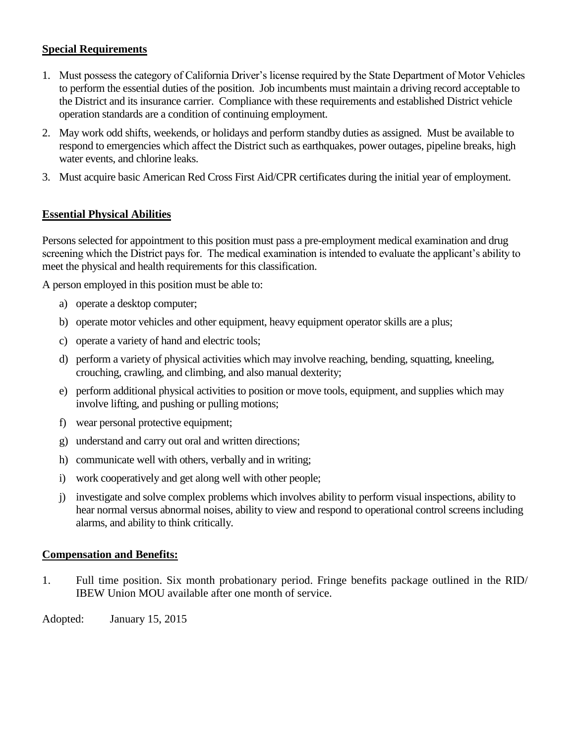#### **Special Requirements**

- 1. Must possess the category of California Driver's license required by the State Department of Motor Vehicles to perform the essential duties of the position. Job incumbents must maintain a driving record acceptable to the District and its insurance carrier. Compliance with these requirements and established District vehicle operation standards are a condition of continuing employment.
- 2. May work odd shifts, weekends, or holidays and perform standby duties as assigned. Must be available to respond to emergencies which affect the District such as earthquakes, power outages, pipeline breaks, high water events, and chlorine leaks.
- 3. Must acquire basic American Red Cross First Aid/CPR certificates during the initial year of employment.

#### **Essential Physical Abilities**

Persons selected for appointment to this position must pass a pre-employment medical examination and drug screening which the District pays for. The medical examination is intended to evaluate the applicant's ability to meet the physical and health requirements for this classification.

A person employed in this position must be able to:

- a) operate a desktop computer;
- b) operate motor vehicles and other equipment, heavy equipment operator skills are a plus;
- c) operate a variety of hand and electric tools;
- d) perform a variety of physical activities which may involve reaching, bending, squatting, kneeling, crouching, crawling, and climbing, and also manual dexterity;
- e) perform additional physical activities to position or move tools, equipment, and supplies which may involve lifting, and pushing or pulling motions;
- f) wear personal protective equipment;
- g) understand and carry out oral and written directions;
- h) communicate well with others, verbally and in writing;
- i) work cooperatively and get along well with other people;
- j) investigate and solve complex problems which involves ability to perform visual inspections, ability to hear normal versus abnormal noises, ability to view and respond to operational control screens including alarms, and ability to think critically.

#### **Compensation and Benefits:**

1. Full time position. Six month probationary period. Fringe benefits package outlined in the RID/ IBEW Union MOU available after one month of service.

Adopted: January 15, 2015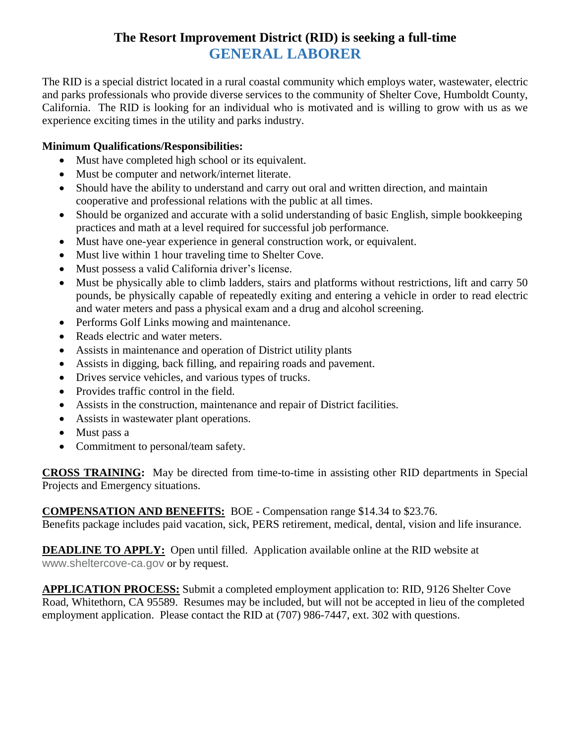# **The Resort Improvement District (RID) is seeking a full-time GENERAL LABORER**

The RID is a special district located in a rural coastal community which employs water, wastewater, electric and parks professionals who provide diverse services to the community of Shelter Cove, Humboldt County, California. The RID is looking for an individual who is motivated and is willing to grow with us as we experience exciting times in the utility and parks industry.

#### **Minimum Qualifications/Responsibilities:**

- Must have completed high school or its equivalent.
- Must be computer and network/internet literate.
- Should have the ability to understand and carry out oral and written direction, and maintain cooperative and professional relations with the public at all times.
- Should be organized and accurate with a solid understanding of basic English, simple bookkeeping practices and math at a level required for successful job performance.
- Must have one-year experience in general construction work, or equivalent.
- Must live within 1 hour traveling time to Shelter Cove.
- Must possess a valid California driver's license.
- Must be physically able to climb ladders, stairs and platforms without restrictions, lift and carry 50 pounds, be physically capable of repeatedly exiting and entering a vehicle in order to read electric and water meters and pass a physical exam and a drug and alcohol screening.
- Performs Golf Links mowing and maintenance.
- Reads electric and water meters.
- Assists in maintenance and operation of District utility plants
- Assists in digging, back filling, and repairing roads and pavement.
- Drives service vehicles, and various types of trucks.
- Provides traffic control in the field.
- Assists in the construction, maintenance and repair of District facilities.
- Assists in wastewater plant operations.
- Must pass a
- Commitment to personal/team safety.

**CROSS TRAINING:** May be directed from time-to-time in assisting other RID departments in Special Projects and Emergency situations.

#### **COMPENSATION AND BENEFITS:** BOE - Compensation range \$14.34 to \$23.76.

Benefits package includes paid vacation, sick, PERS retirement, medical, dental, vision and life insurance.

**DEADLINE TO APPLY:** Open until filled. Application available online at the RID website at [www.sheltercove-ca.gov](http://www.sheltercove-ca.gov/) or by request.

**APPLICATION PROCESS:** Submit a completed employment application to: RID, 9126 Shelter Cove Road, Whitethorn, CA 95589. Resumes may be included, but will not be accepted in lieu of the completed employment application. Please contact the RID at (707) 986-7447, ext. 302 with questions.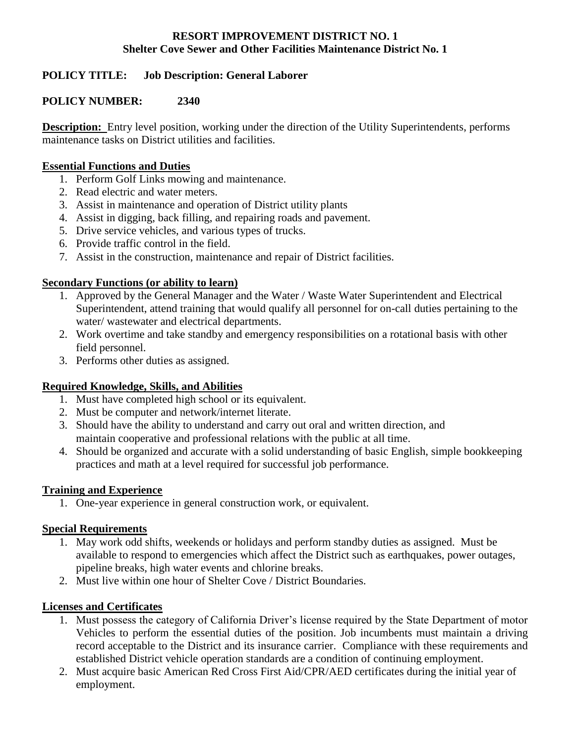#### **RESORT IMPROVEMENT DISTRICT NO. 1 Shelter Cove Sewer and Other Facilities Maintenance District No. 1**

## **POLICY TITLE: Job Description: General Laborer**

## **POLICY NUMBER: 2340**

**Description:** Entry level position, working under the direction of the Utility Superintendents, performs maintenance tasks on District utilities and facilities.

#### **Essential Functions and Duties**

- 1. Perform Golf Links mowing and maintenance.
- 2. Read electric and water meters.
- 3. Assist in maintenance and operation of District utility plants
- 4. Assist in digging, back filling, and repairing roads and pavement.
- 5. Drive service vehicles, and various types of trucks.
- 6. Provide traffic control in the field.
- 7. Assist in the construction, maintenance and repair of District facilities.

## **Secondary Functions (or ability to learn)**

- 1. Approved by the General Manager and the Water / Waste Water Superintendent and Electrical Superintendent, attend training that would qualify all personnel for on-call duties pertaining to the water/ wastewater and electrical departments.
- 2. Work overtime and take standby and emergency responsibilities on a rotational basis with other field personnel.
- 3. Performs other duties as assigned.

## **Required Knowledge, Skills, and Abilities**

- 1. Must have completed high school or its equivalent.
- 2. Must be computer and network/internet literate.
- 3. Should have the ability to understand and carry out oral and written direction, and maintain cooperative and professional relations with the public at all time.
- 4. Should be organized and accurate with a solid understanding of basic English, simple bookkeeping practices and math at a level required for successful job performance.

## **Training and Experience**

1. One-year experience in general construction work, or equivalent.

## **Special Requirements**

- 1. May work odd shifts, weekends or holidays and perform standby duties as assigned. Must be available to respond to emergencies which affect the District such as earthquakes, power outages, pipeline breaks, high water events and chlorine breaks.
- 2. Must live within one hour of Shelter Cove / District Boundaries.

## **Licenses and Certificates**

- 1. Must possess the category of California Driver's license required by the State Department of motor Vehicles to perform the essential duties of the position. Job incumbents must maintain a driving record acceptable to the District and its insurance carrier. Compliance with these requirements and established District vehicle operation standards are a condition of continuing employment.
- 2. Must acquire basic American Red Cross First Aid/CPR/AED certificates during the initial year of employment.